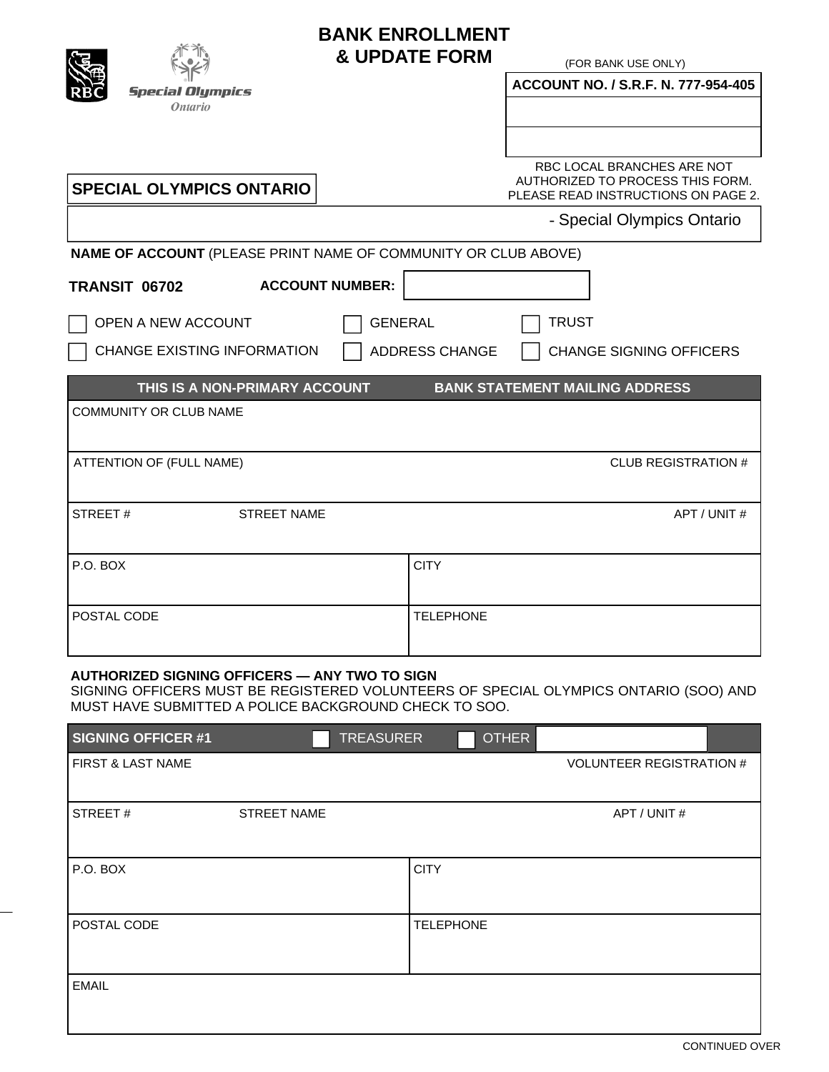

# **BANK ENROLLMENT & UPDATE FORM**

(FOR BANK USE ONLY)

| $\sqrt{2}$<br><b>Special Olympics</b>                          | ACCOUNT NO. / S.R.F. N. 777-954-405                                                                   |
|----------------------------------------------------------------|-------------------------------------------------------------------------------------------------------|
| <i>Ontario</i>                                                 |                                                                                                       |
|                                                                |                                                                                                       |
| <b>SPECIAL OLYMPICS ONTARIO</b>                                | RBC LOCAL BRANCHES ARE NOT<br>AUTHORIZED TO PROCESS THIS FORM.<br>PLEASE READ INSTRUCTIONS ON PAGE 2. |
|                                                                | - Special Olympics Ontario                                                                            |
| NAME OF ACCOUNT (PLEASE PRINT NAME OF COMMUNITY OR CLUB ABOVE) |                                                                                                       |
| <b>ACCOUNT NUMBER:</b><br><b>TRANSIT 06702</b>                 |                                                                                                       |
| OPEN A NEW ACCOUNT<br><b>GENERAL</b>                           | <b>TRUST</b>                                                                                          |
| <b>CHANGE EXISTING INFORMATION</b>                             | <b>ADDRESS CHANGE</b><br><b>CHANGE SIGNING OFFICERS</b>                                               |
|                                                                |                                                                                                       |
| THIS IS A NON-PRIMARY ACCOUNT                                  | <b>BANK STATEMENT MAILING ADDRESS</b>                                                                 |
| COMMUNITY OR CLUB NAME                                         |                                                                                                       |
| ATTENTION OF (FULL NAME)                                       | <b>CLUB REGISTRATION #</b>                                                                            |
| STREET#<br><b>STREET NAME</b>                                  | APT / UNIT #                                                                                          |
| P.O. BOX                                                       | <b>CITY</b>                                                                                           |
|                                                                |                                                                                                       |
| POSTAL CODE                                                    | <b>TELEPHONE</b>                                                                                      |

### **AUTHORIZED SIGNING OFFICERS — ANY TWO TO SIGN**

SIGNING OFFICERS MUST BE REGISTERED VOLUNTEERS OF SPECIAL OLYMPICS ONTARIO (SOO) AND MUST HAVE SUBMITTED A POLICE BACKGROUND CHECK TO SOO.

| <b>SIGNING OFFICER #1</b> |                    | <b>TREASURER</b> |                  | <b>OTHER</b> |                                 |
|---------------------------|--------------------|------------------|------------------|--------------|---------------------------------|
| FIRST & LAST NAME         |                    |                  |                  |              | <b>VOLUNTEER REGISTRATION #</b> |
|                           |                    |                  |                  |              |                                 |
| STREET#                   | <b>STREET NAME</b> |                  |                  |              | APT / UNIT #                    |
|                           |                    |                  |                  |              |                                 |
| P.O. BOX                  |                    |                  | <b>CITY</b>      |              |                                 |
|                           |                    |                  |                  |              |                                 |
| POSTAL CODE               |                    |                  | <b>TELEPHONE</b> |              |                                 |
|                           |                    |                  |                  |              |                                 |
| <b>EMAIL</b>              |                    |                  |                  |              |                                 |
|                           |                    |                  |                  |              |                                 |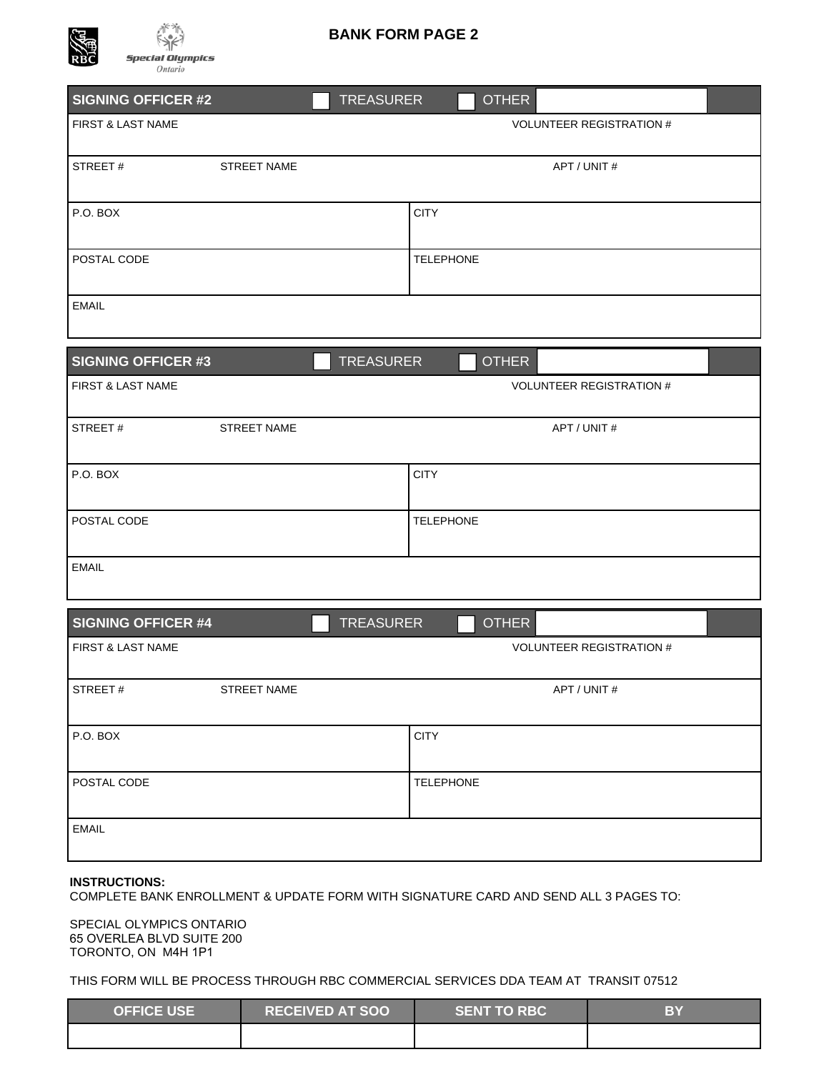

## **BANK FORM PAGE 2**

| SIGNING OFFICER #2           | <b>TREASURER</b> | <b>OTHER</b>                    |  |
|------------------------------|------------------|---------------------------------|--|
| <b>FIRST &amp; LAST NAME</b> |                  | <b>VOLUNTEER REGISTRATION #</b> |  |
| STREET#<br>STREET NAME       |                  | APT / UNIT #                    |  |
|                              |                  |                                 |  |
| P.O. BOX                     | <b>CITY</b>      |                                 |  |
|                              |                  |                                 |  |
| POSTAL CODE                  | <b>TELEPHONE</b> |                                 |  |
| <b>EMAIL</b>                 |                  |                                 |  |
|                              |                  |                                 |  |
| <b>SIGNING OFFICER #3</b>    | <b>TREASURER</b> | <b>OTHER</b>                    |  |
| FIRST & LAST NAME            |                  | <b>VOLUNTEER REGISTRATION #</b> |  |
|                              |                  |                                 |  |
| STREET#<br>STREET NAME       |                  | APT / UNIT #                    |  |
| P.O. BOX                     | <b>CITY</b>      |                                 |  |
|                              |                  |                                 |  |
| POSTAL CODE                  | <b>TELEPHONE</b> |                                 |  |
|                              |                  |                                 |  |
| <b>EMAIL</b>                 |                  |                                 |  |
| <b>SIGNING OFFICER #4</b>    | <b>TREASURER</b> | <b>OTHER</b>                    |  |
| FIRST & LAST NAME            |                  | <b>VOLUNTEER REGISTRATION #</b> |  |
|                              |                  |                                 |  |
| STREET#<br>STREET NAME       |                  | APT / UNIT #                    |  |
| P.O. BOX                     | <b>CITY</b>      |                                 |  |
|                              |                  |                                 |  |
| POSTAL CODE                  | <b>TELEPHONE</b> |                                 |  |
|                              |                  |                                 |  |
| <b>EMAIL</b>                 |                  |                                 |  |
|                              |                  |                                 |  |

#### **INSTRUCTIONS:**

COMPLETE BANK ENROLLMENT & UPDATE FORM WITH SIGNATURE CARD AND SEND ALL 3 PAGES TO:

SPECIAL OLYMPICS ONTARIO 65 OVERLEA BLVD SUITE 200 TORONTO, ON M4H 1P1

THIS FORM WILL BE PROCESS THROUGH RBC COMMERCIAL SERVICES DDA TEAM AT TRANSIT 07512

| <b>OFFICE USE</b> | <b>RECEIVED AT SOO</b> | <b>SENT TO RBC</b> | BY |
|-------------------|------------------------|--------------------|----|
|                   |                        |                    |    |